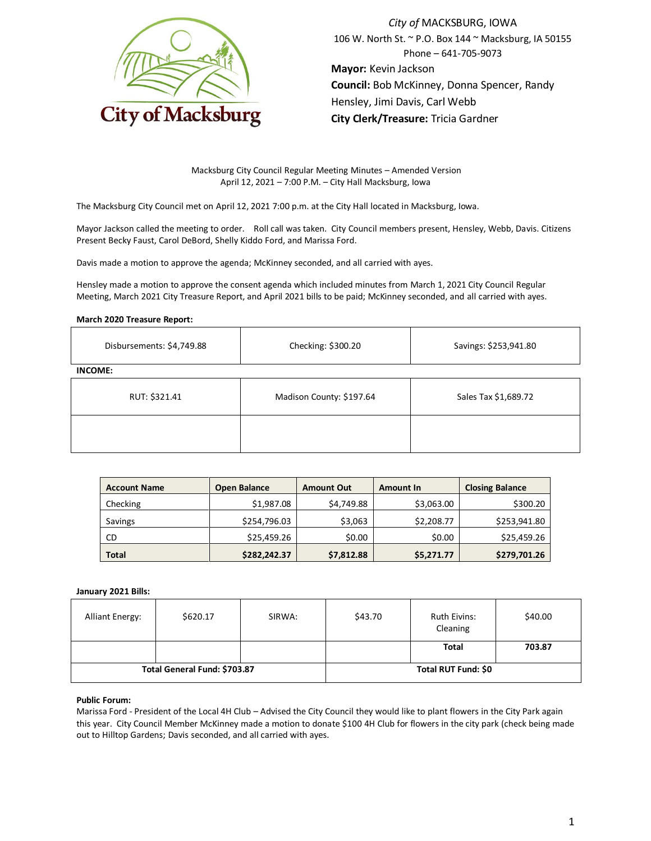

*City of* MACKSBURG, IOWA 106 W. North St. ~ P.O. Box 144 ~ Macksburg, IA 50155 Phone – 641-705-9073 **Mayor:** Kevin Jackson **Council:** Bob McKinney, Donna Spencer, Randy Hensley, Jimi Davis, Carl Webb **City Clerk/Treasure:** Tricia Gardner

Macksburg City Council Regular Meeting Minutes – Amended Version April 12, 2021 – 7:00 P.M. – City Hall Macksburg, Iowa

The Macksburg City Council met on April 12, 2021 7:00 p.m. at the City Hall located in Macksburg, Iowa.

Mayor Jackson called the meeting to order. Roll call was taken. City Council members present, Hensley, Webb, Davis. Citizens Present Becky Faust, Carol DeBord, Shelly Kiddo Ford, and Marissa Ford.

Davis made a motion to approve the agenda; McKinney seconded, and all carried with ayes.

Hensley made a motion to approve the consent agenda which included minutes from March 1, 2021 City Council Regular Meeting, March 2021 City Treasure Report, and April 2021 bills to be paid; McKinney seconded, and all carried with ayes.

## **March 2020 Treasure Report:**

| Disbursements: \$4,749.88 | Checking: \$300.20                               | Savings: \$253,941.80 |  |
|---------------------------|--------------------------------------------------|-----------------------|--|
| <b>INCOME:</b>            |                                                  |                       |  |
| RUT: \$321.41             | Sales Tax \$1,689.72<br>Madison County: \$197.64 |                       |  |
|                           |                                                  |                       |  |

| <b>Account Name</b> | <b>Open Balance</b> | <b>Amount Out</b> | <b>Amount In</b> | <b>Closing Balance</b> |
|---------------------|---------------------|-------------------|------------------|------------------------|
| Checking            | \$1,987.08          | \$4,749.88        | \$3,063.00       | \$300.20               |
| Savings             | \$254,796.03        | \$3,063           | \$2,208.77       | \$253,941.80           |
| CD                  | \$25,459.26         | \$0.00            | \$0.00           | \$25,459.26            |
| <b>Total</b>        | \$282,242.37        | \$7,812.88        | \$5,271.77       | \$279,701.26           |

### **January 2021 Bills:**

| <b>Alliant Energy:</b>       | \$620.17 | SIRWA:              | \$43.70 | Ruth Eivins:<br>Cleaning | \$40.00 |
|------------------------------|----------|---------------------|---------|--------------------------|---------|
|                              |          |                     |         | Total                    | 703.87  |
| Total General Fund: \$703.87 |          | Total RUT Fund: \$0 |         |                          |         |

### **Public Forum:**

Marissa Ford - President of the Local 4H Club – Advised the City Council they would like to plant flowers in the City Park again this year. City Council Member McKinney made a motion to donate \$100 4H Club for flowers in the city park (check being made out to Hilltop Gardens; Davis seconded, and all carried with ayes.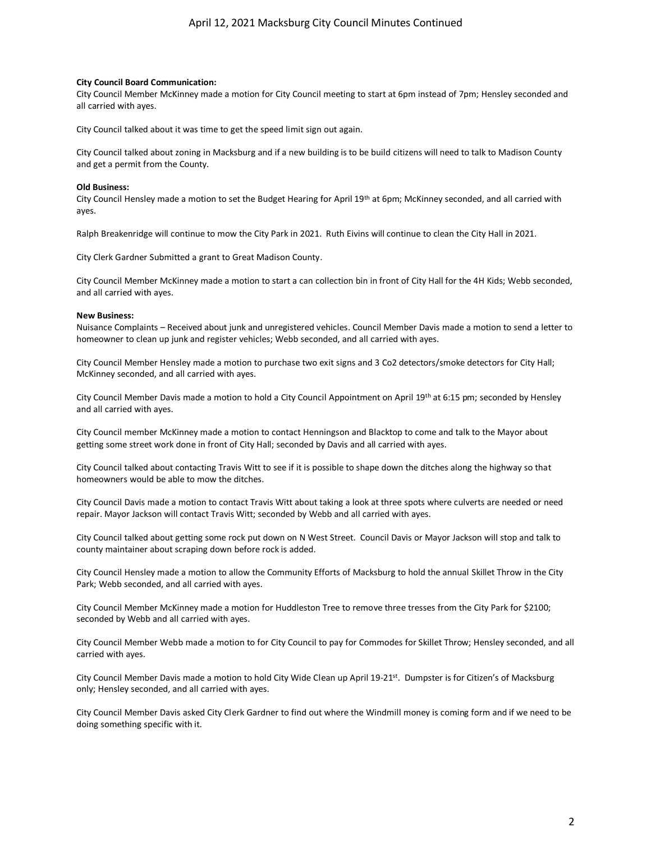## **City Council Board Communication:**

City Council Member McKinney made a motion for City Council meeting to start at 6pm instead of 7pm; Hensley seconded and all carried with ayes.

City Council talked about it was time to get the speed limit sign out again.

City Council talked about zoning in Macksburg and if a new building is to be build citizens will need to talk to Madison County and get a permit from the County.

# **Old Business:**

City Council Hensley made a motion to set the Budget Hearing for April 19th at 6pm; McKinney seconded, and all carried with ayes.

Ralph Breakenridge will continue to mow the City Park in 2021. Ruth Eivins will continue to clean the City Hall in 2021.

City Clerk Gardner Submitted a grant to Great Madison County.

City Council Member McKinney made a motion to start a can collection bin in front of City Hall for the 4H Kids; Webb seconded, and all carried with ayes.

# **New Business:**

Nuisance Complaints – Received about junk and unregistered vehicles. Council Member Davis made a motion to send a letter to homeowner to clean up junk and register vehicles; Webb seconded, and all carried with ayes.

City Council Member Hensley made a motion to purchase two exit signs and 3 Co2 detectors/smoke detectors for City Hall; McKinney seconded, and all carried with ayes.

City Council Member Davis made a motion to hold a City Council Appointment on April 19th at 6:15 pm; seconded by Hensley and all carried with ayes.

City Council member McKinney made a motion to contact Henningson and Blacktop to come and talk to the Mayor about getting some street work done in front of City Hall; seconded by Davis and all carried with ayes.

City Council talked about contacting Travis Witt to see if it is possible to shape down the ditches along the highway so that homeowners would be able to mow the ditches.

City Council Davis made a motion to contact Travis Witt about taking a look at three spots where culverts are needed or need repair. Mayor Jackson will contact Travis Witt; seconded by Webb and all carried with ayes.

City Council talked about getting some rock put down on N West Street. Council Davis or Mayor Jackson will stop and talk to county maintainer about scraping down before rock is added.

City Council Hensley made a motion to allow the Community Efforts of Macksburg to hold the annual Skillet Throw in the City Park; Webb seconded, and all carried with ayes.

City Council Member McKinney made a motion for Huddleston Tree to remove three tresses from the City Park for \$2100; seconded by Webb and all carried with ayes.

City Council Member Webb made a motion to for City Council to pay for Commodes for Skillet Throw; Hensley seconded, and all carried with ayes.

City Council Member Davis made a motion to hold City Wide Clean up April 19-21<sup>st</sup>. Dumpster is for Citizen's of Macksburg only; Hensley seconded, and all carried with ayes.

City Council Member Davis asked City Clerk Gardner to find out where the Windmill money is coming form and if we need to be doing something specific with it.